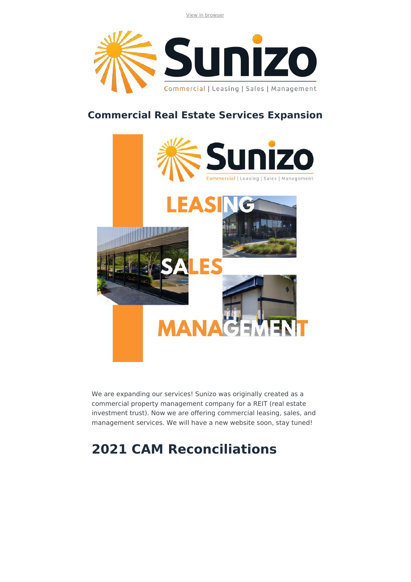View in browser



### **Commercial Real Estate Services Expansion**



We are expanding our services! Sunizo was originally created as a commercial property management company for a REIT (real estate investment trust). Now we are offering commercial leasing, sales, and management services. We will have a new website soon, stay tuned!

# **2021 CAM Reconciliations**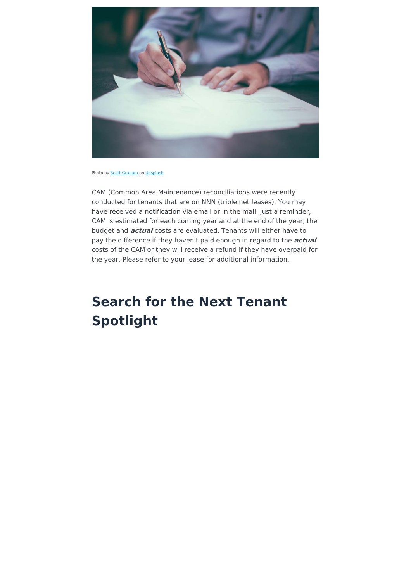

Photo by **Scott Graham** on Unsplash

CAM (Common Area Maintenance) reconciliations were recently conducted for tenants that are on NNN (triple net leases). You may have received a notification via email or in the mail. Just a reminder, CAM is estimated for each coming year and at the end of the year, the budget and **actual** costs are evaluated. Tenants will either have to pay the difference if they haven't paid enough in regard to the **actual** costs of the CAM or they will receive a refund if they have overpaid for the year. Please refer to your lease for additional information.

# **Search for the Next Tenant Spotlight**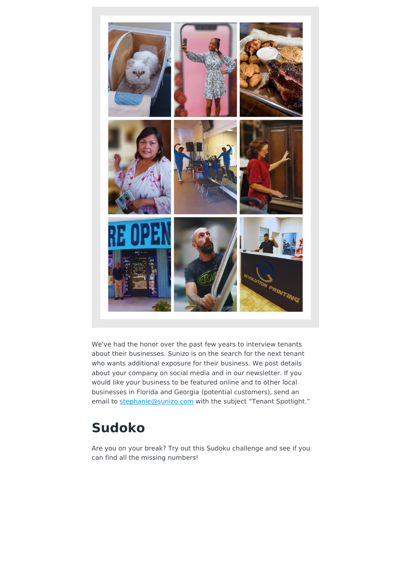

We've had the honor over the past few years to interview tenants about their businesses. Sunizo is on the search for the next tenant who wants additional exposure for their business. We post details about your company on social media and in our newsletter. If you would like your business to be featured online and to other local businesses in Florida and Georgia (potential customers), send an email to stephanie@sunizo.com with the subject "Tenant Spotlight."

## **Sudoko**

Are you on your break? Try out this Sudoku challenge and see if you can find all the missing numbers!